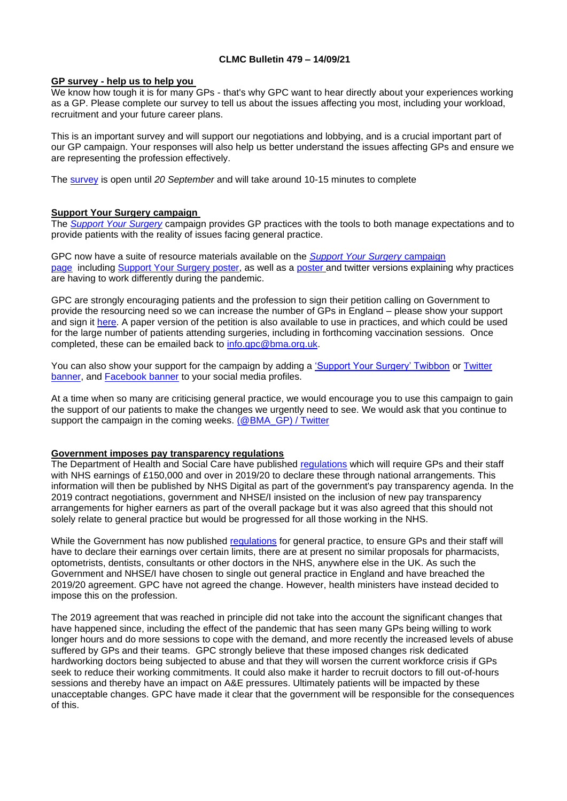### **CLMC Bulletin 479 – 14/09/21**

#### **GP survey - help us to help you**

We know how tough it is for many GPs - that's why GPC want to hear directly about your experiences working as a GP. Please complete our survey to tell us about the issues affecting you most, including your workload, recruitment and your future career plans.

This is an important survey and will support our negotiations and lobbying, and is a crucial important part of our GP campaign. Your responses will also help us better understand the issues affecting GPs and ensure we are representing the profession effectively.

The [survey](https://www.surveymonkey.co.uk/r/BMA_GP_Survey) is open until *20 September* and will take around 10-15 minutes to complete

#### **Support Your Surgery campaign**

The *[Support Your Surgery](https://www.bma.org.uk/supportyoursurgery)* campaign provides GP practices with the tools to both manage expectations and to provide patients with the reality of issues facing general practice.

GPC now have a suite of resource materials available on the *[Support Your Surgery](http://www.bma.org.uk/supportyoursurgery)* campaign [page](http://www.bma.org.uk/supportyoursurgery) including [Support Your Surgery poster,](https://www.bma.org.uk/media/4454/bma-gp-access-poster-web-full-colour.pdf) as well as a [poster](https://i.emlfiles4.com/cmpdoc/3/7/7/5/2/files/834467_why-gps-need-to-work-differently_poster.pdf?utm_source=The%20British%20Medical%20Association&utm_medium=email&utm_campaign=12631526_GP%20ENEWSLETTER%20020921&dm_t=0,0,0,0,0) and twitter versions explaining why practices are having to work differently during the pandemic.

GPC are strongly encouraging patients and the profession to sign their petition calling on Government to provide the resourcing need so we can increase the number of GPs in England – please show your support and sign it [here.](https://e-activist.com/page/88027/petition/1?ea.tracking.id=website) A paper version of the petition is also available to use in practices, and which could be used for the large number of patients attending surgeries, including in forthcoming vaccination sessions. Once completed, these can be emailed back to [info.gpc@bma.org.uk.](mailto:info.gpc@bma.org.uk)

You can also show your support for the campaign by adding a ['Support Your Surgery' Twibbon](https://twibbon.com/Support/support-your-surgery) or Twitter [banner,](https://www.bma.org.uk/media/4511/sys-twitter-banner.jpg) and [Facebook banner](https://www.bma.org.uk/media/4510/sys-facebook-banner.jpg) to your social media profiles.

At a time when so many are criticising general practice, we would encourage you to use this campaign to gain the support of our patients to make the changes we urgently need to see. We would ask that you continue to support the campaign in the coming weeks. [\(@BMA\\_GP\) / Twitter](https://twitter.com/BMA_GP)

#### **Government imposes pay transparency regulations**

The Department of Health and Social Care have published [regulations](https://www.legislation.gov.uk/uksi/2021/995/made) which will require GPs and their staff with NHS earnings of £150,000 and over in 2019/20 to declare these through national arrangements. This information will then be published by NHS Digital as part of the government's pay transparency agenda. In the 2019 contract negotiations, government and NHSE/I insisted on the inclusion of new pay transparency arrangements for higher earners as part of the overall package but it was also agreed that this should not solely relate to general practice but would be progressed for all those working in the NHS.

While the Government has now published [regulations](https://www.legislation.gov.uk/uksi/2021/995/made) for general practice, to ensure GPs and their staff will have to declare their earnings over certain limits, there are at present no similar proposals for pharmacists, optometrists, dentists, consultants or other doctors in the NHS, anywhere else in the UK. As such the Government and NHSE/I have chosen to single out general practice in England and have breached the 2019/20 agreement. GPC have not agreed the change. However, health ministers have instead decided to impose this on the profession.

The 2019 agreement that was reached in principle did not take into the account the significant changes that have happened since, including the effect of the pandemic that has seen many GPs being willing to work longer hours and do more sessions to cope with the demand, and more recently the increased levels of abuse suffered by GPs and their teams. GPC strongly believe that these imposed changes risk dedicated hardworking doctors being subjected to abuse and that they will worsen the current workforce crisis if GPs seek to reduce their working commitments. It could also make it harder to recruit doctors to fill out-of-hours sessions and thereby have an impact on A&E pressures. Ultimately patients will be impacted by these unacceptable changes. GPC have made it clear that the government will be responsible for the consequences of this.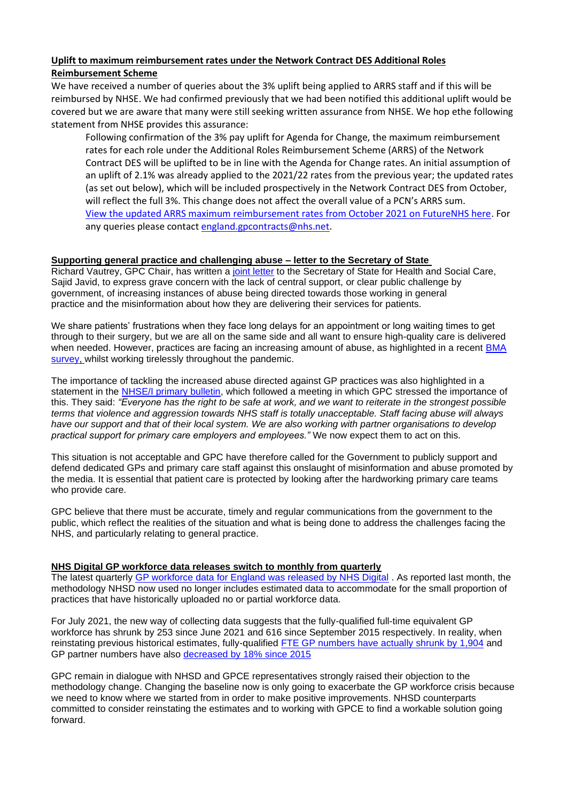# **Uplift to maximum reimbursement rates under the Network Contract DES Additional Roles Reimbursement Scheme**

We have received a number of queries about the 3% uplift being applied to ARRS staff and if this will be reimbursed by NHSE. We had confirmed previously that we had been notified this additional uplift would be covered but we are aware that many were still seeking written assurance from NHSE. We hop ethe following statement from NHSE provides this assurance:

Following confirmation of the 3% pay uplift for Agenda for Change, the maximum reimbursement rates for each role under the Additional Roles Reimbursement Scheme (ARRS) of the Network Contract DES will be uplifted to be in line with the Agenda for Change rates. An initial assumption of an uplift of 2.1% was already applied to the 2021/22 rates from the previous year; the updated rates (as set out below), which will be included prospectively in the Network Contract DES from October, will reflect the full 3%. This change does not affect the overall value of a PCN's ARRS sum. [View the updated ARRS maximum reimbursement rates from October 2021 on FutureNHS here.](https://generalpracticebulletin.cmail20.com/t/d-l-aqiyht-jueujdtjj-t/) For any queries please contac[t england.gpcontracts@nhs.net.](mailto:england.gpcontracts@nhs.net)

## **Supporting general practice and challenging abuse – letter to the Secretary of State**

Richard Vautrey, GPC Chair, has written a [joint letter](https://i.emlfiles4.com/cmpdoc/3/7/7/5/2/files/841106_bma-rcgp-igpm-and-nhs-confed-joint-letter-to-sos-09sept21.pdf?utm_source=The%20British%20Medical%20Association&utm_medium=email&utm_campaign=12645090_GP%20ENEWSLETTER%20090921&dm_t=0,0,0,0,0) to the Secretary of State for Health and Social Care, Sajid Javid, to express grave concern with the lack of central support, or clear public challenge by government, of increasing instances of abuse being directed towards those working in general practice and the misinformation about how they are delivering their services for patients.

We share patients' frustrations when they face long delays for an appointment or long waiting times to get through to their surgery, but we are all on the same side and all want to ensure high-quality care is delivered when needed. However, practices are facing an increasing amount of abuse, as highlighted in a recent [BMA](https://www.bma.org.uk/bma-media-centre/bma-urges-public-to-be-kind-as-survey-reveals-worrying-levels-of-abuse-against-doctors-and-colleagues)  [survey,](https://www.bma.org.uk/bma-media-centre/bma-urges-public-to-be-kind-as-survey-reveals-worrying-levels-of-abuse-against-doctors-and-colleagues) whilst working tirelessly throughout the pandemic.

The importance of tackling the increased abuse directed against GP practices was also highlighted in a statement in the [NHSE/I primary bulletin,](https://generalpracticebulletin.cmail20.com/t/ViewEmail/d/0AF6F707F65313132540EF23F30FEDED/8BF2ECA055A892734AB3169DA1FD82E9) which followed a meeting in which GPC stressed the importance of this. They said: *"Everyone has the right to be safe at work, and we want to reiterate in the strongest possible terms that violence and aggression towards NHS staff is totally unacceptable. Staff facing abuse will always have our support and that of their local system. We are also working with partner organisations to develop practical support for primary care employers and employees."* We now expect them to act on this.

This situation is not acceptable and GPC have therefore called for the Government to publicly support and defend dedicated GPs and primary care staff against this onslaught of misinformation and abuse promoted by the media. It is essential that patient care is protected by looking after the hardworking primary care teams who provide care.

GPC believe that there must be accurate, timely and regular communications from the government to the public, which reflect the realities of the situation and what is being done to address the challenges facing the NHS, and particularly relating to general practice.

### **NHS Digital GP workforce data releases switch to monthly from quarterly**

The latest quarterly GP [workforce data for England was released by NHS Digital](https://digital.nhs.uk/data-and-information/publications/statistical/general-and-personal-medical-services/31-july-2021) . As reported last month, the methodology NHSD now used no longer includes estimated data to accommodate for the small proportion of practices that have historically uploaded no or partial workforce data.

For July 2021, the new way of collecting data suggests that the fully-qualified full-time equivalent GP workforce has shrunk by 253 since June 2021 and 616 since September 2015 respectively. In reality, when reinstating previous historical estimates, fully-qualified [FTE GP numbers have actually shrunk by 1,904](https://public.flourish.studio/visualisation/6983731/) and GP partner numbers have also [decreased by 18% since 2015](https://public.flourish.studio/visualisation/6499316/)

GPC remain in dialogue with NHSD and GPCE representatives strongly raised their objection to the methodology change. Changing the baseline now is only going to exacerbate the GP workforce crisis because we need to know where we started from in order to make positive improvements. NHSD counterparts committed to consider reinstating the estimates and to working with GPCE to find a workable solution going forward.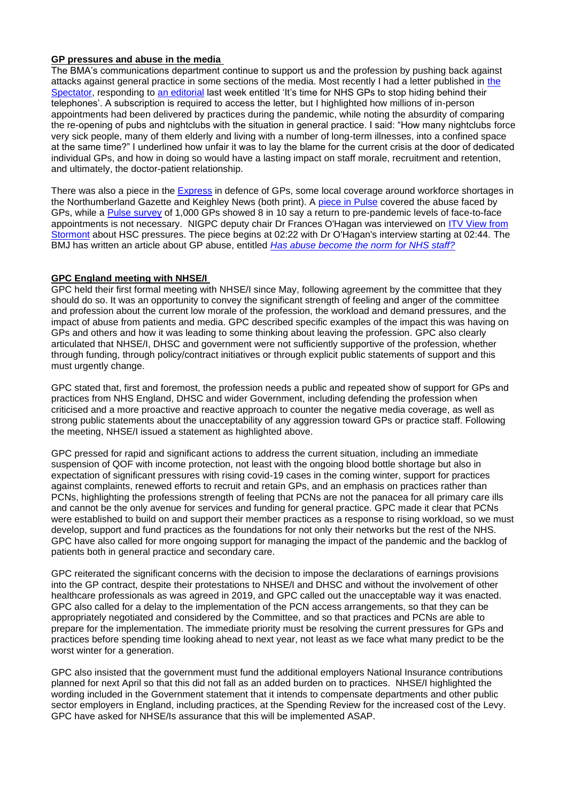## **GP pressures and abuse in the media**

The BMA's communications department continue to support us and the profession by pushing back against attacks against general practice in some sections of the media. Most recently I had a letter published in [the](https://www.spectator.co.uk/article/letters-In-defence-of-gps)  [Spectator,](https://www.spectator.co.uk/article/letters-In-defence-of-gps) responding to [an editorial](https://www.spectator.co.uk/article/its-time-for-nhs-gps-to-stop-hiding-behind-their-telephones) last week entitled 'It's time for NHS GPs to stop hiding behind their telephones'. A subscription is required to access the letter, but I highlighted how millions of in-person appointments had been delivered by practices during the pandemic, while noting the absurdity of comparing the re-opening of pubs and nightclubs with the situation in general practice. I said: "How many nightclubs force very sick people, many of them elderly and living with a number of long-term illnesses, into a confined space at the same time?" I underlined how unfair it was to lay the blame for the current crisis at the door of dedicated individual GPs, and how in doing so would have a lasting impact on staff morale, recruitment and retention, and ultimately, the doctor-patient relationship.

There was also a piece in the [Express](https://www.express.co.uk/comment/expresscomment/1488324/NHS-budget-GP-waiting-times-doctor-waiting-list-social-care-reform-boris-johnson) in defence of GPs, some local coverage around workforce shortages in the Northumberland Gazette and Keighley News (both print). A [piece in Pulse](https://www.pulsetoday.co.uk/news/practice-life/three-quarters-of-gps-experience-increase-in-patient-abuse-since-covid-pandemic/) covered the abuse faced by GPs, while a [Pulse survey](https://www.pulsetoday.co.uk/news/workload/return-to-pre-pandemic-levels-of-face-to-face-appointments-is-unnecessary-say-gps/) of 1,000 GPs showed 8 in 10 say a return to pre-pandemic levels of face-to-face appointments is not necessary. NIGPC deputy chair Dr Frances O'Hagan was interviewed on [ITV View from](https://www.itv.com/utvprogrammes/articles/view-from-stormont-episode-182)  [Stormont](https://www.itv.com/utvprogrammes/articles/view-from-stormont-episode-182) about HSC pressures. The piece begins at 02:22 with Dr O'Hagan's interview starting at 02:44. The BMJ has written an article about GP abuse, entitled *[Has abuse become the norm for NHS staff?](https://blogs.bmj.com/bmj/2021/09/07/has-abuse-become-the-norm-for-nhs-staff/)*

### **GPC England meeting with NHSE/I**

GPC held their first formal meeting with NHSE/I since May, following agreement by the committee that they should do so. It was an opportunity to convey the significant strength of feeling and anger of the committee and profession about the current low morale of the profession, the workload and demand pressures, and the impact of abuse from patients and media. GPC described specific examples of the impact this was having on GPs and others and how it was leading to some thinking about leaving the profession. GPC also clearly articulated that NHSE/I, DHSC and government were not sufficiently supportive of the profession, whether through funding, through policy/contract initiatives or through explicit public statements of support and this must urgently change.

GPC stated that, first and foremost, the profession needs a public and repeated show of support for GPs and practices from NHS England, DHSC and wider Government, including defending the profession when criticised and a more proactive and reactive approach to counter the negative media coverage, as well as strong public statements about the unacceptability of any aggression toward GPs or practice staff. Following the meeting, NHSE/I issued a statement as highlighted above.

GPC pressed for rapid and significant actions to address the current situation, including an immediate suspension of QOF with income protection, not least with the ongoing blood bottle shortage but also in expectation of significant pressures with rising covid-19 cases in the coming winter, support for practices against complaints, renewed efforts to recruit and retain GPs, and an emphasis on practices rather than PCNs, highlighting the professions strength of feeling that PCNs are not the panacea for all primary care ills and cannot be the only avenue for services and funding for general practice. GPC made it clear that PCNs were established to build on and support their member practices as a response to rising workload, so we must develop, support and fund practices as the foundations for not only their networks but the rest of the NHS. GPC have also called for more ongoing support for managing the impact of the pandemic and the backlog of patients both in general practice and secondary care.

GPC reiterated the significant concerns with the decision to impose the declarations of earnings provisions into the GP contract, despite their protestations to NHSE/I and DHSC and without the involvement of other healthcare professionals as was agreed in 2019, and GPC called out the unacceptable way it was enacted. GPC also called for a delay to the implementation of the PCN access arrangements, so that they can be appropriately negotiated and considered by the Committee, and so that practices and PCNs are able to prepare for the implementation. The immediate priority must be resolving the current pressures for GPs and practices before spending time looking ahead to next year, not least as we face what many predict to be the worst winter for a generation.

GPC also insisted that the government must fund the additional employers National Insurance contributions planned for next April so that this did not fall as an added burden on to practices. NHSE/I highlighted the wording included in the Government statement that it intends to compensate departments and other public sector employers in England, including practices, at the Spending Review for the increased cost of the Levy. GPC have asked for NHSE/Is assurance that this will be implemented ASAP.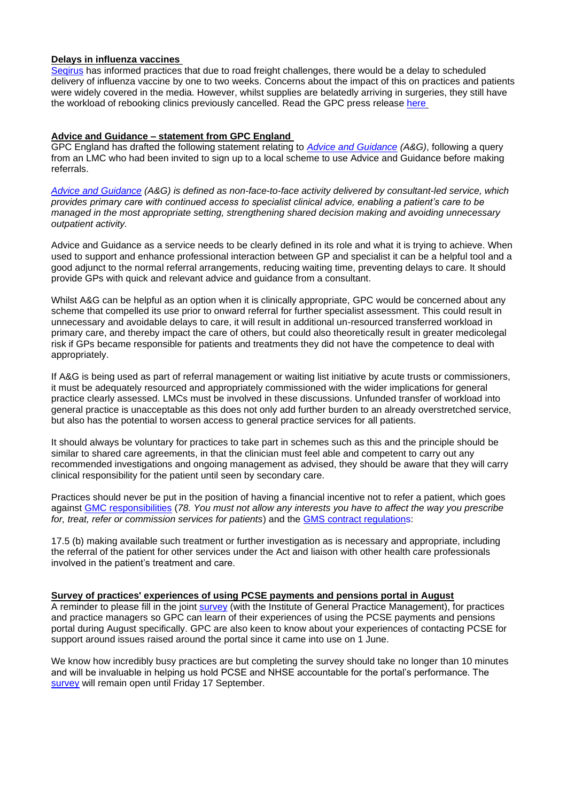#### **Delays in influenza vaccines**

[Seqirus](https://www.seqirus.com/) has informed practices that due to road freight challenges, there would be a delay to scheduled delivery of influenza vaccine by one to two weeks. Concerns about the impact of this on practices and patients were widely covered in the media. However, whilst supplies are belatedly arriving in surgeries, they still have the workload of rebooking clinics previously cancelled. Read the GPC press release [here](https://www.bma.org.uk/bma-media-centre/delay-in-flu-vaccine-deliveries-will-have-serious-impact-on-practices-says-bma)

## **Advice and Guidance – statement from GPC England**

GPC England has drafted the following statement relating to *[Advice and Guidance](https://www.england.nhs.uk/elective-care-transformation/best-practice-solutions/advice-and-guidance/) (A&G)*, following a query from an LMC who had been invited to sign up to a local scheme to use Advice and Guidance before making referrals.

*[Advice and Guidance](https://www.england.nhs.uk/elective-care-transformation/best-practice-solutions/advice-and-guidance/) (A&G) is defined as non-face-to-face activity delivered by consultant-led service, which provides primary care with continued access to specialist clinical advice, enabling a patient's care to be managed in the most appropriate setting, strengthening shared decision making and avoiding unnecessary outpatient activity.* 

Advice and Guidance as a service needs to be clearly defined in its role and what it is trying to achieve. When used to support and enhance professional interaction between GP and specialist it can be a helpful tool and a good adjunct to the normal referral arrangements, reducing waiting time, preventing delays to care. It should provide GPs with quick and relevant advice and guidance from a consultant.

Whilst A&G can be helpful as an option when it is clinically appropriate, GPC would be concerned about any scheme that compelled its use prior to onward referral for further specialist assessment. This could result in unnecessary and avoidable delays to care, it will result in additional un-resourced transferred workload in primary care, and thereby impact the care of others, but could also theoretically result in greater medicolegal risk if GPs became responsible for patients and treatments they did not have the competence to deal with appropriately.

If A&G is being used as part of referral management or waiting list initiative by acute trusts or commissioners, it must be adequately resourced and appropriately commissioned with the wider implications for general practice clearly assessed. LMCs must be involved in these discussions. Unfunded transfer of workload into general practice is unacceptable as this does not only add further burden to an already overstretched service, but also has the potential to worsen access to general practice services for all patients.

It should always be voluntary for practices to take part in schemes such as this and the principle should be similar to shared care agreements, in that the clinician must feel able and competent to carry out any recommended investigations and ongoing management as advised, they should be aware that they will carry clinical responsibility for the patient until seen by secondary care.

Practices should never be put in the position of having a financial incentive not to refer a patient, which goes against [GMC responsibilities](https://www.gmc-uk.org/ethical-guidance/ethical-guidance-for-doctors/financial-and-commercial-arrangements-and-conflicts-of-interest/financial-and-commercial-arrangements-and-conflicts-of-interest) (*78. You must not allow any interests you have to affect the way you prescribe for, treat, refer or commission services for patients*) and the [GMS contract regulations:](https://www.legislation.gov.uk/uksi/2015/1862/regulation/17/made?view=plain)

17.5 (b) making available such treatment or further investigation as is necessary and appropriate, including the referral of the patient for other services under the Act and liaison with other health care professionals involved in the patient's treatment and care.

#### **Survey of practices' experiences of using PCSE payments and pensions portal in August**

A reminder to please fill in the joint [survey](https://www.research.net/r/5R55BQH) (with the Institute of General Practice Management), for practices and practice managers so GPC can learn of their experiences of using the PCSE payments and pensions portal during August specifically. GPC are also keen to know about your experiences of contacting PCSE for support around issues raised around the portal since it came into use on 1 June.

We know how incredibly busy practices are but completing the survey should take no longer than 10 minutes and will be invaluable in helping us hold PCSE and NHSE accountable for the portal's performance. The [survey](https://www.research.net/r/5R55BQH) will remain open until Friday 17 September.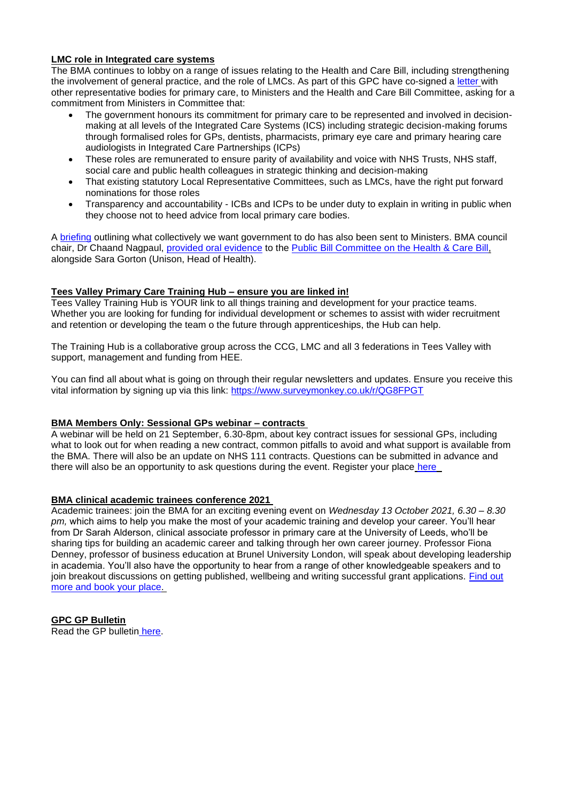### **LMC role in Integrated care systems**

The BMA continues to lobby on a range of issues relating to the Health and Care Bill, including strengthening the involvement of general practice, and the role of LMCs. As part of this GPC have co-signed a [letter](https://i.emlfiles4.com/cmpdoc/3/7/7/5/2/files/839633_health-and-care-bill-committee-letter---final.pdf?utm_source=The%20British%20Medical%20Association&utm_medium=email&utm_campaign=12645090_GP%20ENEWSLETTER%20090921&dm_t=0,0,0,0,0) with other representative bodies for primary care, to Ministers and the Health and Care Bill Committee, asking for a commitment from Ministers in Committee that:

- The government honours its commitment for primary care to be represented and involved in decisionmaking at all levels of the Integrated Care Systems (ICS) including strategic decision-making forums through formalised roles for GPs, dentists, pharmacists, primary eye care and primary hearing care audiologists in Integrated Care Partnerships (ICPs)
- These roles are remunerated to ensure parity of availability and voice with NHS Trusts, NHS staff, social care and public health colleagues in strategic thinking and decision-making
- That existing statutory Local Representative Committees, such as LMCs, have the right put forward nominations for those roles
- Transparency and accountability ICBs and ICPs to be under duty to explain in writing in public when they choose not to heed advice from local primary care bodies.

A [briefing](https://i.emlfiles4.com/cmpdoc/3/7/7/5/2/files/839634_health-and-care-bill---primary-care-key-asks-final-06.09.21.pdf?utm_source=The%20British%20Medical%20Association&utm_medium=email&utm_campaign=12645090_GP%20ENEWSLETTER%20090921&dm_t=0,0,0,0,0) outlining what collectively we want government to do has also been sent to Ministers. BMA council chair, Dr Chaand Nagpaul, [provided oral evidence](https://www.parliamentlive.tv/Event/Index/257f073e-4cda-486d-8212-a023f08a5225) to the [Public Bill Committee on the Health & Care Bill,](https://committees.parliament.uk/committee/536/health-and-care-bill/membership/) alongside Sara Gorton (Unison, Head of Health).

### **Tees Valley Primary Care Training Hub – ensure you are linked in!**

Tees Valley Training Hub is YOUR link to all things training and development for your practice teams. Whether you are looking for funding for individual development or schemes to assist with wider recruitment and retention or developing the team o the future through apprenticeships, the Hub can help.

The Training Hub is a collaborative group across the CCG, LMC and all 3 federations in Tees Valley with support, management and funding from HEE.

You can find all about what is going on through their regular newsletters and updates. Ensure you receive this vital information by signing up via this link: <https://www.surveymonkey.co.uk/r/QG8FPGT>

## **BMA Members Only: Sessional GPs webinar – contracts**

A webinar will be held on 21 September, 6.30-8pm, about key contract issues for sessional GPs, including what to look out for when reading a new contract, common pitfalls to avoid and what support is available from the BMA. There will also be an update on NHS 111 contracts. Questions can be submitted in advance and there will also be an opportunity to ask questions during the event. Register your place [here](https://www.bma.org.uk/events/sessional-gp-contract-explainer)

#### **BMA clinical academic trainees conference 2021**

Academic trainees: join the BMA for an exciting evening event on *Wednesday 13 October 2021, 6.30 – 8.30 pm,* which aims to help you make the most of your academic training and develop your career. You'll hear from Dr Sarah Alderson, clinical associate professor in primary care at the University of Leeds, who'll be sharing tips for building an academic career and talking through her own career journey. Professor Fiona Denney, professor of business education at Brunel University London, will speak about developing leadership in academia. You'll also have the opportunity to hear from a range of other knowledgeable speakers and to join breakout discussions on getting published, wellbeing and writing successful grant applications. [Find out](https://www.bma.org.uk/events/bma-clinical-academic-trainees-conference-2021-building-your-academic-career)  [more and book your place.](https://www.bma.org.uk/events/bma-clinical-academic-trainees-conference-2021-building-your-academic-career)

**GPC GP Bulletin** Read the GP bulletin [here.](https://bma-mail.org.uk/t/JVX-7J10I-EC5E0CEA0D8A5317JCJOU4BA186991484320BE/cr.aspx)